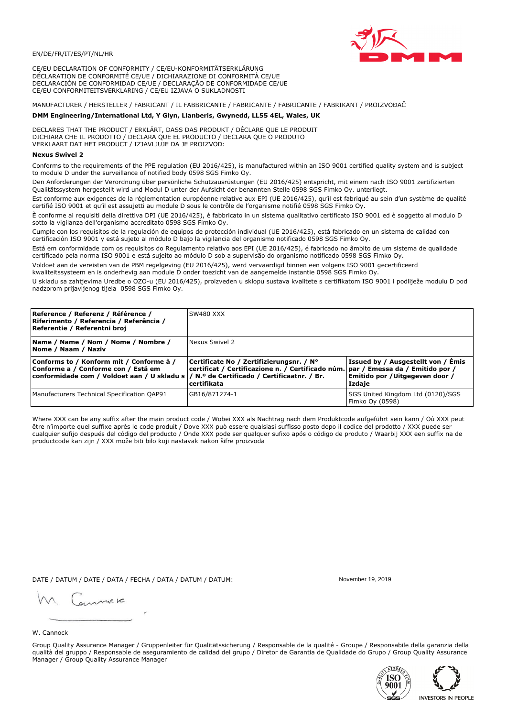

CE/EU DECLARATION OF CONFORMITY / CE/EU-KONFORMITÄTSERKLÄRUNG DÉCLARATION DE CONFORMITÉ CE/UE / DICHIARAZIONE DI CONFORMITÀ CE/UE DECLARACIÓN DE CONFORMIDAD CE/UE / DECLARAÇÃO DE CONFORMIDADE CE/UE CE/EU CONFORMITEITSVERKLARING / CE/EU IZJAVA O SUKLADNOSTI

# MANUFACTURER / HERSTELLER / FABRICANT / IL FABBRICANTE / FABRICANTE / FABRICANTE / FABRIKANT / PROIZVOĐAČ

## DMM Engineering/International Ltd, Y Glyn, Llanberis, Gwynedd, LL55 4EL, Wales, UK

DECLARES THAT THE PRODUCT / ERKLÄRT, DASS DAS PRODUKT / DÉCLARE QUE LE PRODUIT<br>DICHIARA CHE IL PRODOTTO / DECLARA QUE EL PRODUCTO / DECLARA QUE O PRODUTO VERKLAART DAT HET PRODUCT / IZJAVLJUJE DA JE PROIZVOD:

### **Nexus Swivel 2**

Conforms to the requirements of the PPE regulation (EU 2016/425), is manufactured within an ISO 9001 certified quality system and is subject to module D under the surveillance of notified body 0598 SGS Fimko Oy.

Den Anforderungen der Verordnung über persönliche Schutzausrüstungen (EU 2016/425) entspricht, mit einem nach ISO 9001 zertifizierten Qualitätssystem hergestellt wird und Modul D unter der Aufsicht der benannten Stelle 0598 SGS Fimko Oy. unterliegt.

Est conforme aux exigences de la réglementation européenne relative aux EPI (UE 2016/425), qu'il est fabriqué au sein d'un système de qualité certifié ISO 9001 et qu'il est assujetti au module D sous le contrôle de l'organisme notifié 0598 SGS Fimko Oy.

È conforme ai requisiti della direttiva DPI (UE 2016/425), è fabbricato in un sistema qualitativo certificato ISO 9001 ed è soggetto al modulo D sotto la vigilanza dell'organismo accreditato 0598 SGS Fimko Oy.

Cumple con los requisitos de la regulación de equipos de protección individual (UE 2016/425), está fabricado en un sistema de calidad con certificación ISO 9001 y está sujeto al módulo D bajo la vigilancia del organismo notificado 0598 SGS Fimko Oy.

Está em conformidade com os requisitos do Regulamento relativo aos EPI (UE 2016/425), é fabricado no âmbito de um sistema de qualidade certificado pela norma ISO 9001 e está sujeito ao módulo D sob a supervisão do organismo notificado 0598 SGS Fimko Oy.

Voldoet aan de vereisten van de PBM regelgeving (EU 2016/425), werd vervaardigd binnen een volgens ISO 9001 gecertificeerd kwaliteitssysteem en is onderhevig aan module D onder toezicht van de aangemelde instantie 0598 SGS Fimko Oy.

U skladu sa zahtjevima Uredbe o OZO-u (EU 2016/425), proizveden u sklopu sustava kvalitete s certifikatom ISO 9001 i podliježe modulu D pod nadzorom prijavljenog tijela 0598 SGS Fimko Oy.

| Reference / Referenz / Référence /<br> Riferimento / Referencia / Referência /<br>Referentie / Referentni broj                                                             | SW480 XXX                                                                                                                                          |                                                                                 |
|----------------------------------------------------------------------------------------------------------------------------------------------------------------------------|----------------------------------------------------------------------------------------------------------------------------------------------------|---------------------------------------------------------------------------------|
| Name / Name / Nom / Nome / Nombre /<br>Nome / Naam / Naziv                                                                                                                 | Nexus Swivel 2                                                                                                                                     |                                                                                 |
| Conforms to / Konform mit / Conforme à /<br>Conforme a / Conforme con / Está em<br>conformidade com / Voldoet aan / U skladu s / N.º de Certificado / Certificaatnr. / Br. | Certificate No / Zertifizierungsnr. / N°<br>  certificat / Certificazione n. / Certificado núm.   par / Emessa da / Emitido por /<br>l certifikata | Issued by / Ausgestellt von / Emis<br>Emitido por / Uitgegeven door /<br>Izdaje |
| Manufacturers Technical Specification QAP91                                                                                                                                | GB16/871274-1                                                                                                                                      | SGS United Kingdom Ltd (0120)/SGS<br>Fimko Oy (0598)                            |

Where XXX can be any suffix after the main product code / Wobei XXX als Nachtrag nach dem Produktcode aufgeführt sein kann / Où XXX peut être n'importe quel suffixe après le code produit / Dove XXX può essere qualsiasi suffisso posto dopo il codice del prodotto / XXX puede ser cualquier sufijo después del código del producto / Onde XXX pode ser qualquer sufixo após o código de produto / Waarbij XXX een suffix na de productcode kan zijn / XXX može biti bilo koji nastavak nakon šifre proizvoda

DATE / DATUM / DATE / DATA / FECHA / DATA / DATUM / DATUM:

gimmic

November 19 2019



Group Quality Assurance Manager / Gruppenleiter für Qualitätssicherung / Responsable de la qualité - Groupe / Responsabile della garanzia della qualità del gruppo / Responsable de aseguramiento de calidad del grupo / Diretor de Garantia de Qualidade do Grupo / Group Quality Assurance Manager / Group Quality Assurance Manager



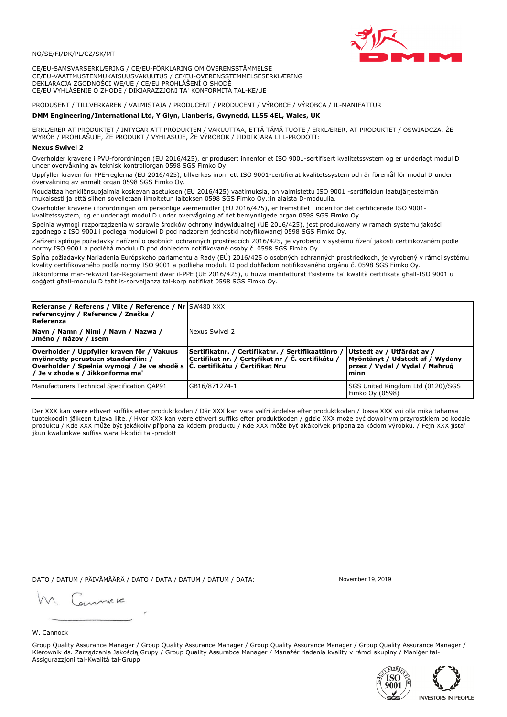

CE/EU-SAMSVARSERKLÆRING / CE/EU-FÖRKLARING OM ÖVERENSSTÄMMELSE CE/EU-VAATIMUSTENMUKAISUUSVAKUUTUS / CE/EU-OVERENSSTEMMELSESERKLÆRING DEKLARACJA ZGODNOŚCI WE/UE / CE/EU PROHLÁŠENÍ O SHODĚ CE/EÚ VYHLÁSENIE O ZHODE / DIKJARAZZJONI TA' KONFORMITÀ TAL-KE/UE

# PRODUSENT / TILLVERKAREN / VALMISTAJA / PRODUCENT / PRODUCENT / VÝROBCE / VÝROBCA / IL-MANIFATTUR

### DMM Engineering/International Ltd, Y Glyn, Llanberis, Gwynedd, LL55 4EL, Wales, UK

ERKLÆRER AT PRODUKTET / INTYGAR ATT PRODUKTEN / VAKUUTTAA, ETTÄ TÄMÄ TUOTE / ERKLÆRER, AT PRODUKTET / OŚWIADCZA, ŻE<br>WYRÓB / PROHLAŠUJE, ŽE PRODUKT / VYHLASUJE, ŽE VÝROBOK / JIDDIKJARA LI L-PRODOTT:

Overholder kravene i PVU-forordningen (EU 2016/425), er produsert innenfor et ISO 9001-sertifisert kvalitetssystem og er underlagt modul D under overvåkning av teknisk kontrollorgan 0598 SGS Fimko Oy.

Uppfyller kraven för PPE-reglerna (EU 2016/425), tillverkas inom ett ISO 9001-certifierat kvalitetssystem och är föremål för modul D under övervakning av anmält organ 0598 SGS Fimko Oy.

Noudattaa henkilönsuojaimia koskevan asetuksen (EU 2016/425) vaatimuksia, on valmistettu ISO 9001 -sertifioidun laatujärjestelmän mukaisesti ja että siihen sovelletaan ilmoitetun laitoksen 0598 SGS Fimko Oy.:in alaista D-moduulia.

Overholder kravene i forordningen om personlige værnemidler (EU 2016/425), er fremstillet i inden for det certificerede ISO 9001kvalitetssystem, og er underlagt modul D under overvågning af det bemyndigede organ 0598 SGS Fimko Oy.

Spełnia wymogi rozporządzenia w sprawie środków ochrony indywidualnej (UE 2016/425), jest produkowany w ramach systemu jakości zgodnego z ISO 9001 i podlega modułowi D pod nadzorem jednostki notyfikowanej 0598 SGS Fimko Oy.

Zařízení splňuje požadavky nařízení o osobních ochranných prostředcích 2016/425, je vyrobeno v systému řízení jakosti certifikovaném podle normy ISO 9001 a podléhá modulu D pod dohledem notifikované osoby č. 0598 SGS Fimko Oy.

Spĺňa požiadavky Nariadenia Európskeho parlamentu a Rady (EÚ) 2016/425 o osobných ochranných prostriedkoch, je vyrobený v rámci systému kvality certifikovaného podľa normy ISO 9001 a podlieha modulu D pod dohľadom notifikovaného orgánu č. 0598 SGS Fimko Oy.

Jikkonforma mar-rekwiżit tar-Regolament dwar il-PPE (UE 2016/425), u huwa manifatturat f'sistema ta' kwalità certifikata għall-ISO 9001 u soggett għall-modulu D taħt is-sorveljanza tal-korp notifikat 0598 SGS Fimko Oy.

| <b>Referanse / Referens / Viite / Reference / Nr</b> SW480 XXX<br>referencyjny / Reference / Značka /<br>Referenza                                                                                                        |                                                                                                         |                                                                                                         |
|---------------------------------------------------------------------------------------------------------------------------------------------------------------------------------------------------------------------------|---------------------------------------------------------------------------------------------------------|---------------------------------------------------------------------------------------------------------|
| Navn / Namn / Nimi / Navn / Nazwa /<br>Jméno / Názov / Isem                                                                                                                                                               | Nexus Swivel 2                                                                                          |                                                                                                         |
| Overholder / Uppfyller kraven för / Vakuus<br>myönnetty perustuen standardiin: /<br> Overholder / Spełnia wymogi / Je ve shodě s $ \check{\mathsf{C}}$ . certifikátu / Čertifikat Nru<br>/ Je v zhode s / Jikkonforma ma' | Sertifikatnr. / Certifikatnr. / Sertifikaattinro /<br>Certifikat nr. / Certyfikat nr / Č. certifikátu / | Utstedt av / Utfärdat av /<br>Myöntänyt / Udstedt af / Wydany<br>przez / Vydal / Vydal / Mahrug<br>minn |
| Manufacturers Technical Specification QAP91                                                                                                                                                                               | GB16/871274-1                                                                                           | SGS United Kingdom Ltd (0120)/SGS<br>Fimko Oy (0598)                                                    |

Der XXX kan være ethvert suffiks etter produktkoden / Där XXX kan vara valfri ändelse efter produktkoden / Jossa XXX voi olla mikä tahansa tuotekoodin jälkeen tuleva liite. / Hvor XXX kan være ethvert suffiks efter produktkoden / gdzie XXX może być dowolnym przyrostkiem po kodzie produktu / Kde XXX může být jakákoliv přípona za kódem produktu / Kde XXX môže byť akákolyek prípona za kódom výrobku. / Fejn XXX jista ikun kwalunkwe suffiss wara l-kodići tal-prodott

DATO / DATUM / PÄIVÄMÄÄRÄ / DATO / DATA / DATUM / DÁTUM / DATA:

November 19 2019

annuic

W. Cannock

Group Quality Assurance Manager / Group Quality Assurance Manager / Group Quality Assurance Manager / Group Quality Assurance Manager / Kierownik ds. Zarządzania Jakością Grupy / Group Quality Assurabce Manager / Manažér riadenia kvality v rámci skupiny / Maniger tal-Assigurazzjoni tal-Kwalità tal-Grupp